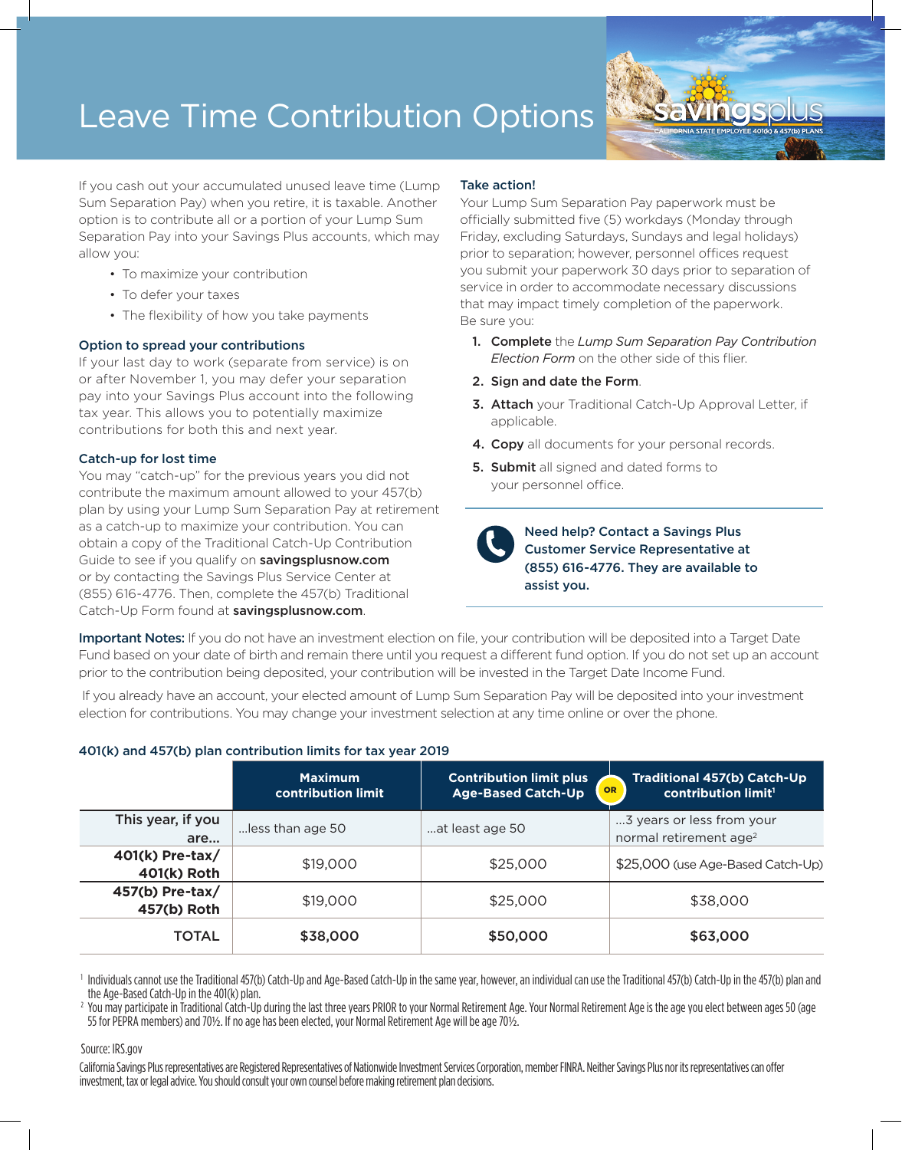# Leave Time Contribution Options

If you cash out your accumulated unused leave time (Lump Sum Separation Pay) when you retire, it is taxable. Another option is to contribute all or a portion of your Lump Sum Separation Pay into your Savings Plus accounts, which may allow you:

- To maximize your contribution
- To defer your taxes
- The flexibility of how you take payments

### Option to spread your contributions

If your last day to work (separate from service) is on or after November 1, you may defer your separation pay into your Savings Plus account into the following tax year. This allows you to potentially maximize contributions for both this and next year.

### Catch-up for lost time

You may "catch-up" for the previous years you did not contribute the maximum amount allowed to your 457(b) plan by using your Lump Sum Separation Pay at retirement as a catch-up to maximize your contribution. You can obtain a copy of the Traditional Catch-Up Contribution Guide to see if you qualify on **savingsplusnow.com** or by contacting the Savings Plus Service Center at (855) 616-4776. Then, complete the 457(b) Traditional Catch-Up Form found at savingsplusnow.com.

### Take action!

Your Lump Sum Separation Pay paperwork must be officially submitted five (5) workdays (Monday through Friday, excluding Saturdays, Sundays and legal holidays) prior to separation; however, personnel offices request you submit your paperwork 30 days prior to separation of service in order to accommodate necessary discussions that may impact timely completion of the paperwork. Be sure you:

- 1. Complete the *Lump Sum Separation Pay Contribution Election Form* on the other side of this flier.
- 2. Sign and date the Form.
- 3. Attach your Traditional Catch-Up Approval Letter, if applicable.
- 4. Copy all documents for your personal records.
- **5. Submit** all signed and dated forms to your personnel office.

Need help? Contact a Savings Plus Customer Service Representative at (855) 616-4776. They are available to assist you.

Important Notes: If you do not have an investment election on file, your contribution will be deposited into a Target Date Fund based on your date of birth and remain there until you request a different fund option. If you do not set up an account prior to the contribution being deposited, your contribution will be invested in the Target Date Income Fund.

 If you already have an account, your elected amount of Lump Sum Separation Pay will be deposited into your investment election for contributions. You may change your investment selection at any time online or over the phone.

|                                  | <b>Maximum</b><br>contribution limit | <b>Contribution limit plus</b><br><b>Age-Based Catch-Up</b> | <b>Traditional 457(b) Catch-Up</b><br>OR<br>contribution limit <sup>1</sup> |  |  |  |
|----------------------------------|--------------------------------------|-------------------------------------------------------------|-----------------------------------------------------------------------------|--|--|--|
| This year, if you<br>are         | less than age 50                     | at least age 50                                             | 3 years or less from your<br>normal retirement age <sup>2</sup>             |  |  |  |
| $401(k)$ Pre-tax/<br>401(k) Roth | \$19,000                             | \$25,000                                                    | \$25,000 (use Age-Based Catch-Up)                                           |  |  |  |
| 457(b) Pre-tax/<br>457(b) Roth   | \$19,000                             | \$25,000                                                    | \$38,000                                                                    |  |  |  |
| TOTAL                            | \$38,000                             | \$50,000                                                    | \$63,000                                                                    |  |  |  |

## 401(k) and 457(b) plan contribution limits for tax year 2019

Individuals cannot use the Traditional 457(b) Catch-Up and Age-Based Catch-Up in the same year, however, an individual can use the Traditional 457(b) Catch-Up in the 457(b) plan and<br>the Age-Based Catch-Up in the 401(k) pla

<sup>2</sup> You may participate in Traditional Catch-Up during the last three years PRIOR to your Normal Retirement Age. Your Normal Retirement Age is the age you elect between ages 50 (age 55 for PEPRA members) and 70½. If no age has been elected, your Normal Retirement Age will be age 70½.

### Source: IRS.gov

California Savings Plus representatives are Registered Representatives of Nationwide Investment Services Corporation, member FINRA. Neither Savings Plus nor its representatives can offer investment, tax or legal advice. You should consult your own counsel before making retirement plan decisions.